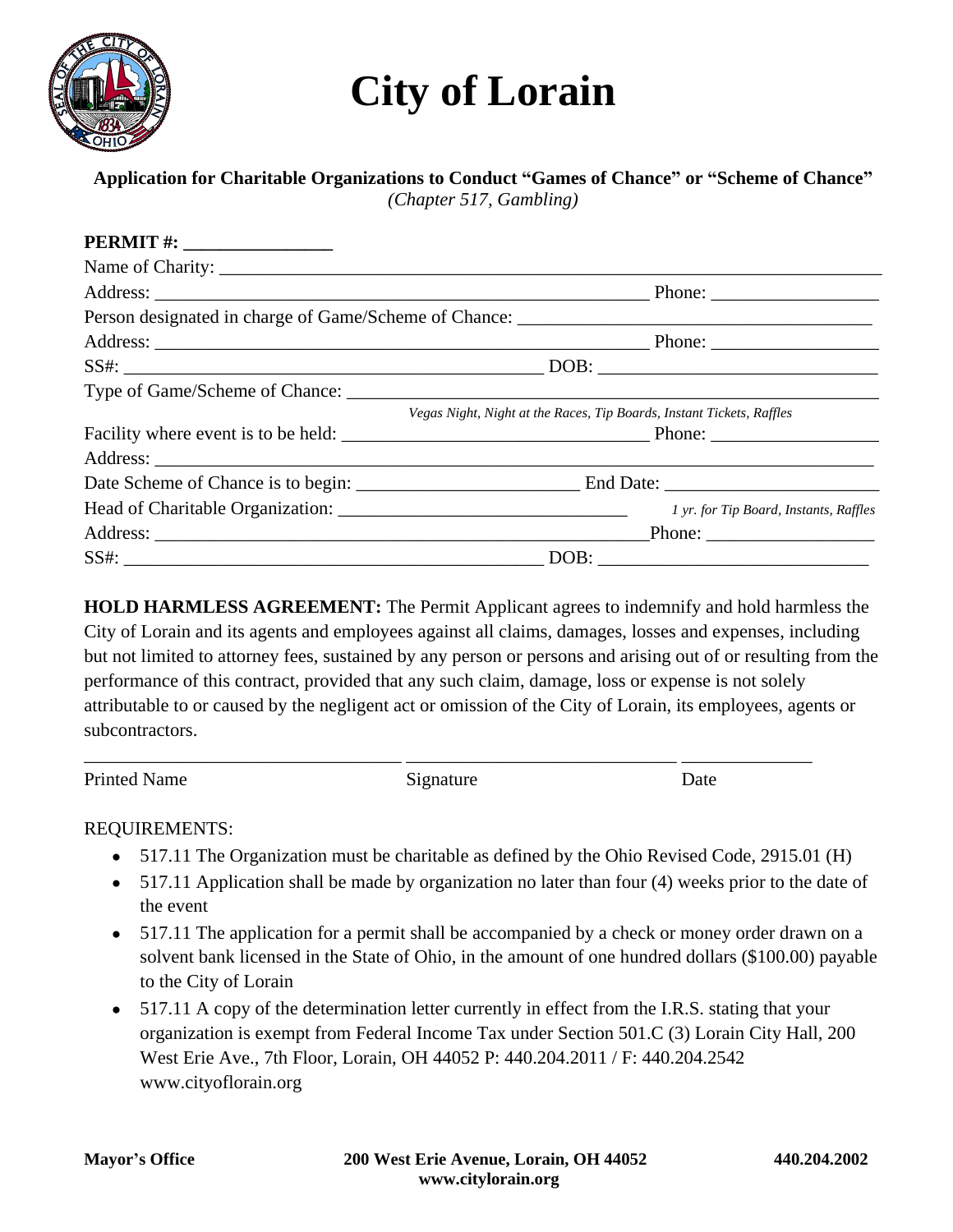# **City of Lorain**



## **Application for Charitable Organizations to Conduct "Games of Chance" or "Scheme of Chance"**

*(Chapter 517, Gambling)*

| <b>PERMIT #:</b> ___________________ |                                                                       |  |
|--------------------------------------|-----------------------------------------------------------------------|--|
|                                      |                                                                       |  |
|                                      |                                                                       |  |
|                                      |                                                                       |  |
|                                      |                                                                       |  |
|                                      |                                                                       |  |
|                                      |                                                                       |  |
|                                      | Vegas Night, Night at the Races, Tip Boards, Instant Tickets, Raffles |  |
|                                      |                                                                       |  |
|                                      |                                                                       |  |
|                                      |                                                                       |  |
|                                      | 1 yr. for Tip Board, Instants, Raffles                                |  |
|                                      |                                                                       |  |
|                                      |                                                                       |  |

**HOLD HARMLESS AGREEMENT:** The Permit Applicant agrees to indemnify and hold harmless the City of Lorain and its agents and employees against all claims, damages, losses and expenses, including but not limited to attorney fees, sustained by any person or persons and arising out of or resulting from the performance of this contract, provided that any such claim, damage, loss or expense is not solely attributable to or caused by the negligent act or omission of the City of Lorain, its employees, agents or subcontractors.

Printed Name Date Signature Date

\_\_\_\_\_\_\_\_\_\_\_\_\_\_\_\_\_\_\_\_\_\_\_\_\_\_\_\_\_\_\_\_\_\_ \_\_\_\_\_\_\_\_\_\_\_\_\_\_\_\_\_\_\_\_\_\_\_\_\_\_\_\_\_ \_\_\_\_\_\_\_\_\_\_\_\_\_\_

### REQUIREMENTS:

- 517.11 The Organization must be charitable as defined by the Ohio Revised Code, 2915.01 (H)
- 517.11 Application shall be made by organization no later than four (4) weeks prior to the date of the event
- 517.11 The application for a permit shall be accompanied by a check or money order drawn on a solvent bank licensed in the State of Ohio, in the amount of one hundred dollars (\$100.00) payable to the City of Lorain
- 517.11 A copy of the determination letter currently in effect from the I.R.S. stating that your organization is exempt from Federal Income Tax under Section 501.C (3) Lorain City Hall, 200 West Erie Ave., 7th Floor, Lorain, OH 44052 P: 440.204.2011 / F: 440.204.2542 www.cityoflorain.org